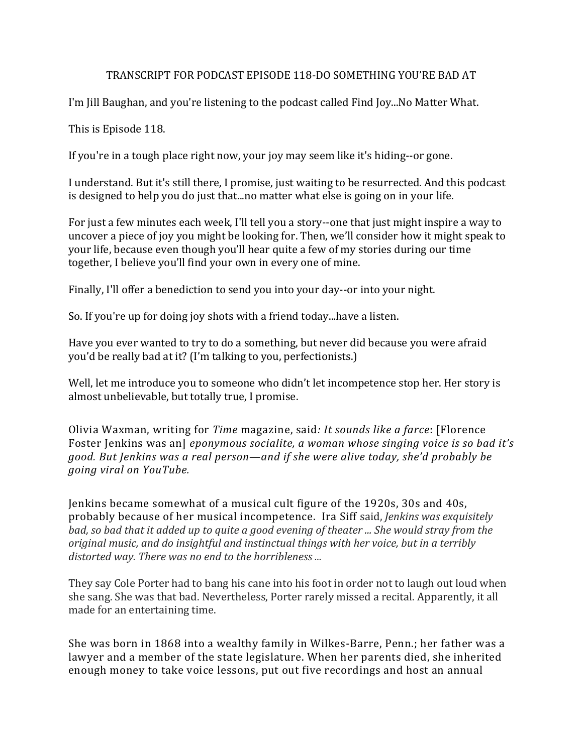## TRANSCRIPT FOR PODCAST EPISODE 118-DO SOMETHING YOU'RE BAD AT

I'm Jill Baughan, and you're listening to the podcast called Find Joy...No Matter What.

This is Episode 118.

If you're in a tough place right now, your joy may seem like it's hiding--or gone.

I understand. But it's still there, I promise, just waiting to be resurrected. And this podcast is designed to help you do just that...no matter what else is going on in your life.

For just a few minutes each week, I'll tell you a story--one that just might inspire a way to uncover a piece of joy you might be looking for. Then, we'll consider how it might speak to your life, because even though you'll hear quite a few of my stories during our time together, I believe you'll find your own in every one of mine.

Finally, I'll offer a benediction to send you into your day--or into your night.

So. If you're up for doing joy shots with a friend today...have a listen.

Have you ever wanted to try to do a something, but never did because you were afraid you'd be really bad at it? (I'm talking to you, perfectionists.)

Well, let me introduce you to someone who didn't let incompetence stop her. Her story is almost unbelievable, but totally true, I promise.

Olivia Waxman, writing for *Time* magazine, said: It sounds like a farce: [Florence Foster Jenkins was an] *eponymous socialite, a woman whose singing voice is so bad it's good.* But Jenkins was a real person—and if she were alive today, she'd probably be *going viral on YouTube.*

Jenkins became somewhat of a musical cult figure of the 1920s, 30s and 40s, probably because of her musical incompetence. Ira Siff said, *Jenkins was exquisitely bad,* so bad that it added up to quite a good evening of theater ... She would stray from the *original music, and do insightful and instinctual things with her voice, but in a terribly* distorted way. There was no end to the horribleness ...

They say Cole Porter had to bang his cane into his foot in order not to laugh out loud when she sang. She was that bad. Nevertheless, Porter rarely missed a recital. Apparently, it all made for an entertaining time.

She was born in 1868 into a wealthy family in Wilkes-Barre, Penn.; her father was a lawyer and a member of the state legislature. When her parents died, she inherited enough money to take voice lessons, put out five recordings and host an annual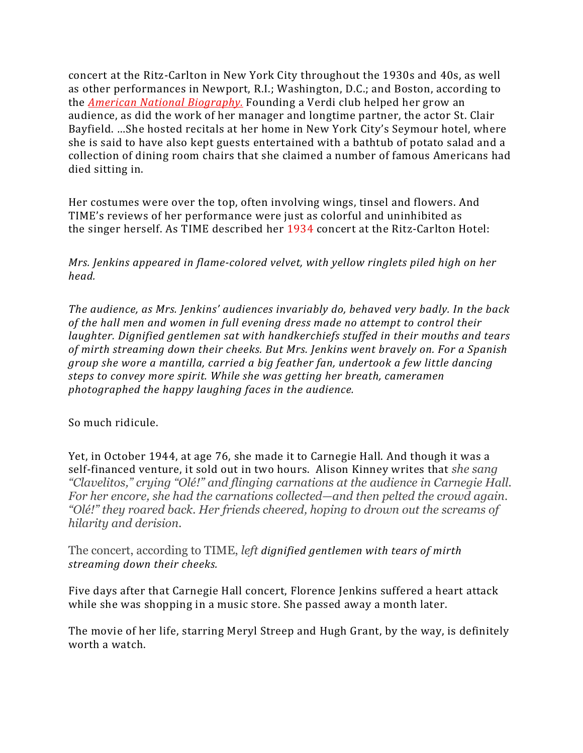concert at the Ritz-Carlton in New York City throughout the 1930s and 40s, as well as other performances in Newport, R.I.; Washington, D.C.; and Boston, according to the *American National Biography*. Founding a Verdi club helped her grow an audience, as did the work of her manager and longtime partner, the actor St. Clair Bayfield. …She hosted recitals at her home in New York City's Seymour hotel, where she is said to have also kept guests entertained with a bathtub of potato salad and a collection of dining room chairs that she claimed a number of famous Americans had died sitting in.

Her costumes were over the top, often involving wings, tinsel and flowers. And TIME's reviews of her performance were just as colorful and uninhibited as the singer herself. As TIME described her 1934 concert at the Ritz-Carlton Hotel:

*Mrs. Jenkins appeared in flame-colored velvet, with yellow ringlets piled high on her head.*

The audience, as Mrs. Jenkins' audiences invariably do, behaved very badly. In the back of the hall men and women in full evening dress made no attempt to control their *laughter.* Dignified gentlemen sat with handkerchiefs stuffed in their mouths and tears of mirth streaming down their cheeks. But Mrs. Jenkins went bravely on. For a Spanish *group* she wore a mantilla, carried a big feather fan, undertook a few little dancing steps to convey more spirit. While she was getting her breath, cameramen *photographed the happy laughing faces in the audience.*

So much ridicule.

Yet, in October 1944, at age 76, she made it to Carnegie Hall. And though it was a self-financed venture, it sold out in two hours. Alison Kinney writes that *she sang "Clavelitos," crying "Olé!" and flinging carnations at the audience in Carnegie Hall. For her encore, she had the carnations collected—and then pelted the crowd again. "Olé!" they roared back. Her friends cheered, hoping to drown out the screams of hilarity and derision.*

The concert, according to TIME, *left dignified gentlemen* with *tears of mirth streaming down their cheeks.*

Five days after that Carnegie Hall concert, Florence Jenkins suffered a heart attack while she was shopping in a music store. She passed away a month later.

The movie of her life, starring Meryl Streep and Hugh Grant, by the way, is definitely worth a watch.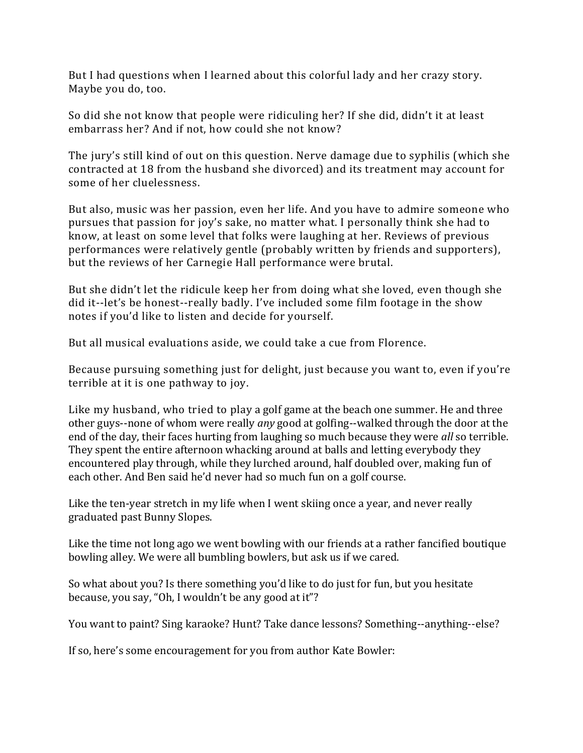But I had questions when I learned about this colorful lady and her crazy story. Maybe you do, too.

So did she not know that people were ridiculing her? If she did, didn't it at least embarrass her? And if not, how could she not know?

The jury's still kind of out on this question. Nerve damage due to syphilis (which she contracted at 18 from the husband she divorced) and its treatment may account for some of her cluelessness.

But also, music was her passion, even her life. And you have to admire someone who pursues that passion for joy's sake, no matter what. I personally think she had to know, at least on some level that folks were laughing at her. Reviews of previous performances were relatively gentle (probably written by friends and supporters), but the reviews of her Carnegie Hall performance were brutal.

But she didn't let the ridicule keep her from doing what she loved, even though she did it--let's be honest--really badly. I've included some film footage in the show notes if you'd like to listen and decide for yourself.

But all musical evaluations aside, we could take a cue from Florence.

Because pursuing something just for delight, just because you want to, even if you're terrible at it is one pathway to joy.

Like my husband, who tried to play a golf game at the beach one summer. He and three other guys--none of whom were really *any* good at golfing--walked through the door at the end of the day, their faces hurting from laughing so much because they were *all* so terrible. They spent the entire afternoon whacking around at balls and letting everybody they encountered play through, while they lurched around, half doubled over, making fun of each other. And Ben said he'd never had so much fun on a golf course.

Like the ten-year stretch in my life when I went skiing once a year, and never really graduated past Bunny Slopes.

Like the time not long ago we went bowling with our friends at a rather fancified boutique bowling alley. We were all bumbling bowlers, but ask us if we cared.

So what about you? Is there something you'd like to do just for fun, but you hesitate because, you say, "Oh, I wouldn't be any good at it"?

You want to paint? Sing karaoke? Hunt? Take dance lessons? Something--anything--else?

If so, here's some encouragement for you from author Kate Bowler: